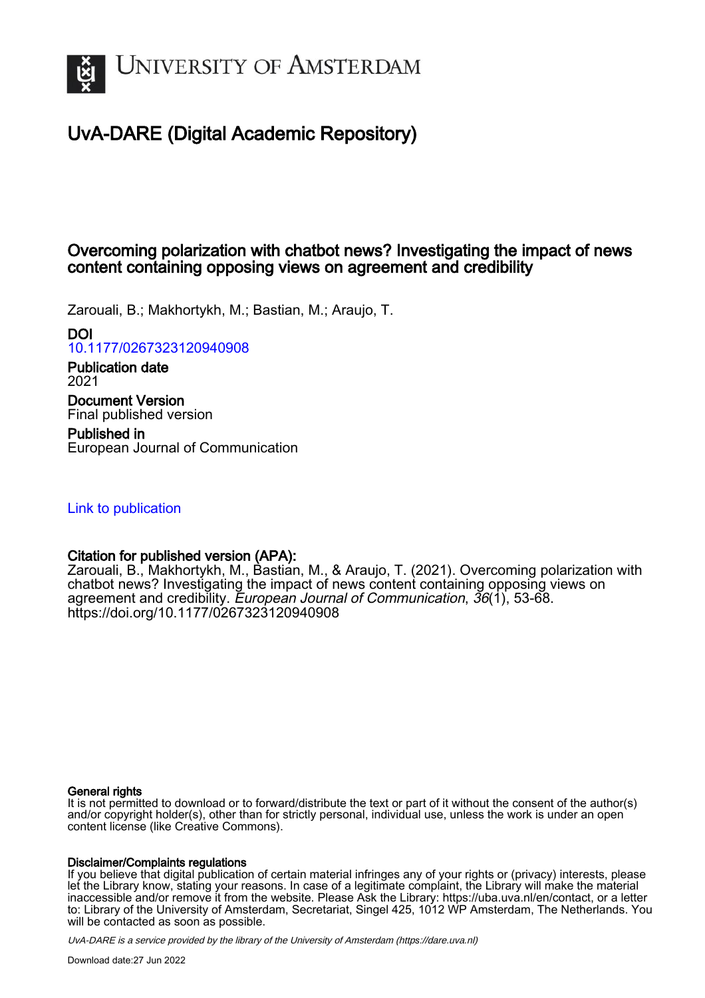

# UvA-DARE (Digital Academic Repository)

# Overcoming polarization with chatbot news? Investigating the impact of news content containing opposing views on agreement and credibility

Zarouali, B.; Makhortykh, M.; Bastian, M.; Araujo, T.

DOI

[10.1177/0267323120940908](https://doi.org/10.1177/0267323120940908)

Publication date 2021 Document Version

Final published version

Published in European Journal of Communication

[Link to publication](https://dare.uva.nl/personal/pure/en/publications/overcoming-polarization-with-chatbot-news-investigating-the-impact-of-news-content-containing-opposing-views-on-agreement-and-credibility(f360c4c4-6cbd-43ea-8e65-d5f288c7db71).html)

# Citation for published version (APA):

Zarouali, B., Makhortykh, M., Bastian, M., & Araujo, T. (2021). Overcoming polarization with chatbot news? Investigating the impact of news content containing opposing views on agreement and credibility. European Journal of Communication,  $36(1)$ , 53-68. <https://doi.org/10.1177/0267323120940908>

#### General rights

It is not permitted to download or to forward/distribute the text or part of it without the consent of the author(s) and/or copyright holder(s), other than for strictly personal, individual use, unless the work is under an open content license (like Creative Commons).

#### Disclaimer/Complaints regulations

If you believe that digital publication of certain material infringes any of your rights or (privacy) interests, please let the Library know, stating your reasons. In case of a legitimate complaint, the Library will make the material inaccessible and/or remove it from the website. Please Ask the Library: https://uba.uva.nl/en/contact, or a letter to: Library of the University of Amsterdam, Secretariat, Singel 425, 1012 WP Amsterdam, The Netherlands. You will be contacted as soon as possible.

UvA-DARE is a service provided by the library of the University of Amsterdam (http*s*://dare.uva.nl)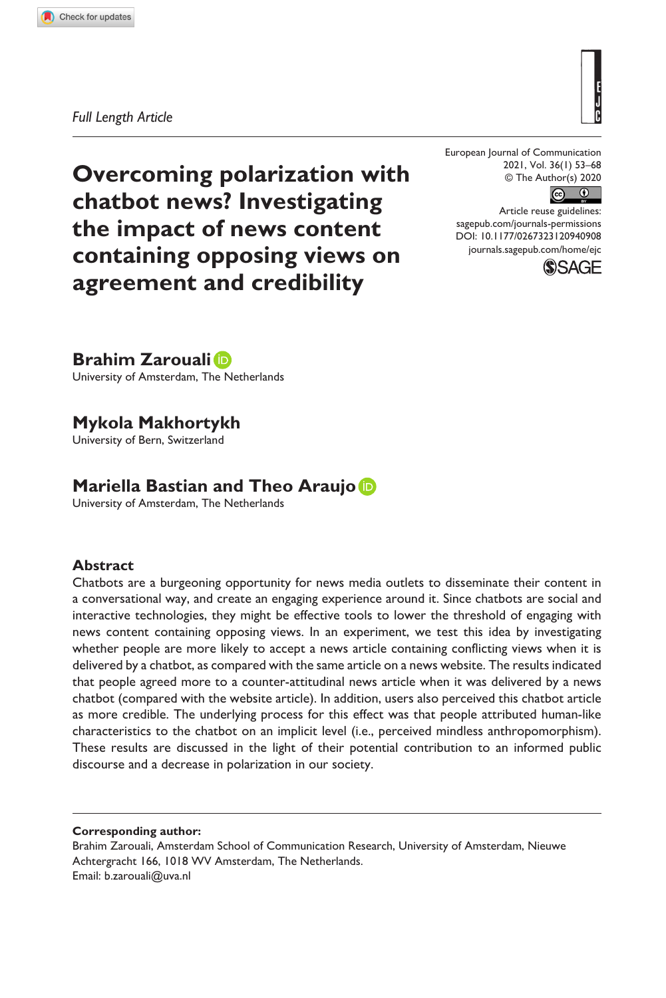**9409[08](http://crossmark.crossref.org/dialog/?doi=10.1177%2F0267323120940908&domain=pdf&date_stamp=2020-07-18)** EJC0010.1177/0267323120940908European Journal of Communication**Zarouali et al.**

*Full Length Article*

**Overcoming polarization with chatbot news? Investigating the impact of news content containing opposing views on agreement and credibility**

European Journal of Communication 2021, Vol. 36(1) 53–68 © The Author(s) 2020



DOI: 10.1177/0267323120940908 Article reuse guidelines: [sagepub.com/journals-permissions](https://uk.sagepub.com/en-gb/journals-permissions) [journals.sagepub.com/home/ejc](https://journals.sagepub.com/home/ejc)



**Brahim Zarouali**

University of Amsterdam, The Netherlands

# **Mykola Makhortykh**

University of Bern, Switzerland

# **Mariella Bastian and Theo Araujo**

University of Amsterdam, The Netherlands

#### **Abstract**

Chatbots are a burgeoning opportunity for news media outlets to disseminate their content in a conversational way, and create an engaging experience around it. Since chatbots are social and interactive technologies, they might be effective tools to lower the threshold of engaging with news content containing opposing views. In an experiment, we test this idea by investigating whether people are more likely to accept a news article containing conflicting views when it is delivered by a chatbot, as compared with the same article on a news website. The results indicated that people agreed more to a counter-attitudinal news article when it was delivered by a news chatbot (compared with the website article). In addition, users also perceived this chatbot article as more credible. The underlying process for this effect was that people attributed human-like characteristics to the chatbot on an implicit level (i.e., perceived mindless anthropomorphism). These results are discussed in the light of their potential contribution to an informed public discourse and a decrease in polarization in our society.

**Corresponding author:**

Brahim Zarouali, Amsterdam School of Communication Research, University of Amsterdam, Nieuwe Achtergracht 166, 1018 WV Amsterdam, The Netherlands. Email: [b.zarouali@uva.nl](mailto:b.zarouali@uva.nl)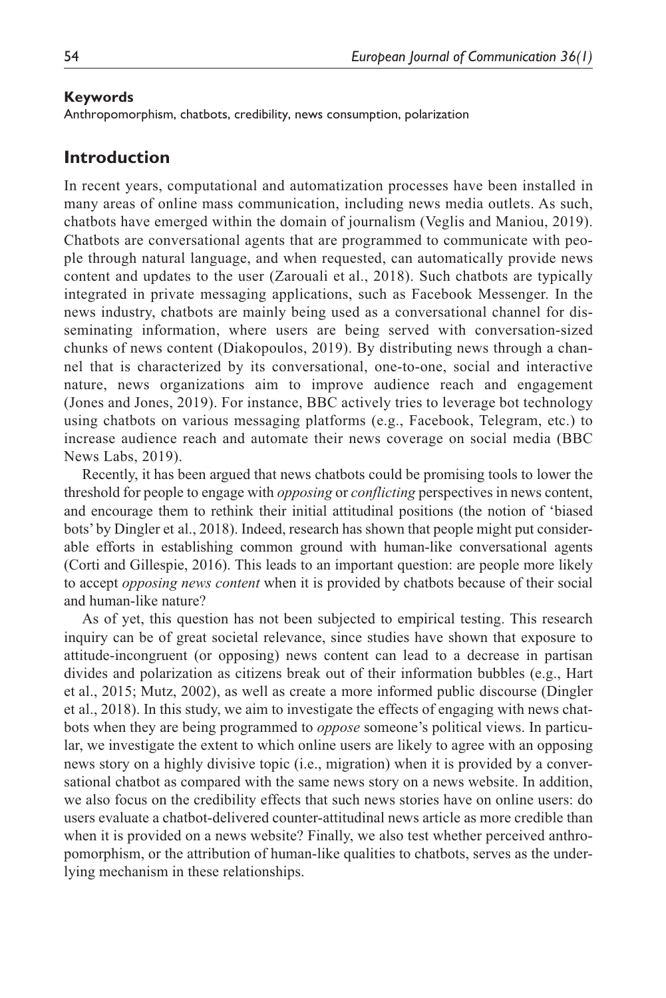#### **Keywords**

Anthropomorphism, chatbots, credibility, news consumption, polarization

### **Introduction**

In recent years, computational and automatization processes have been installed in many areas of online mass communication, including news media outlets. As such, chatbots have emerged within the domain of journalism (Veglis and Maniou, 2019). Chatbots are conversational agents that are programmed to communicate with people through natural language, and when requested, can automatically provide news content and updates to the user (Zarouali et al., 2018). Such chatbots are typically integrated in private messaging applications, such as Facebook Messenger. In the news industry, chatbots are mainly being used as a conversational channel for disseminating information, where users are being served with conversation-sized chunks of news content (Diakopoulos, 2019). By distributing news through a channel that is characterized by its conversational, one-to-one, social and interactive nature, news organizations aim to improve audience reach and engagement (Jones and Jones, 2019). For instance, BBC actively tries to leverage bot technology using chatbots on various messaging platforms (e.g., Facebook, Telegram, etc.) to increase audience reach and automate their news coverage on social media (BBC News Labs, 2019).

Recently, it has been argued that news chatbots could be promising tools to lower the threshold for people to engage with *opposing* or *conflicting* perspectives in news content, and encourage them to rethink their initial attitudinal positions (the notion of 'biased bots' by Dingler et al., 2018). Indeed, research has shown that people might put considerable efforts in establishing common ground with human-like conversational agents (Corti and Gillespie, 2016). This leads to an important question: are people more likely to accept *opposing news content* when it is provided by chatbots because of their social and human-like nature?

As of yet, this question has not been subjected to empirical testing. This research inquiry can be of great societal relevance, since studies have shown that exposure to attitude-incongruent (or opposing) news content can lead to a decrease in partisan divides and polarization as citizens break out of their information bubbles (e.g., Hart et al., 2015; Mutz, 2002), as well as create a more informed public discourse (Dingler et al., 2018). In this study, we aim to investigate the effects of engaging with news chatbots when they are being programmed to *oppose* someone's political views. In particular, we investigate the extent to which online users are likely to agree with an opposing news story on a highly divisive topic (i.e., migration) when it is provided by a conversational chatbot as compared with the same news story on a news website. In addition, we also focus on the credibility effects that such news stories have on online users: do users evaluate a chatbot-delivered counter-attitudinal news article as more credible than when it is provided on a news website? Finally, we also test whether perceived anthropomorphism, or the attribution of human-like qualities to chatbots, serves as the underlying mechanism in these relationships.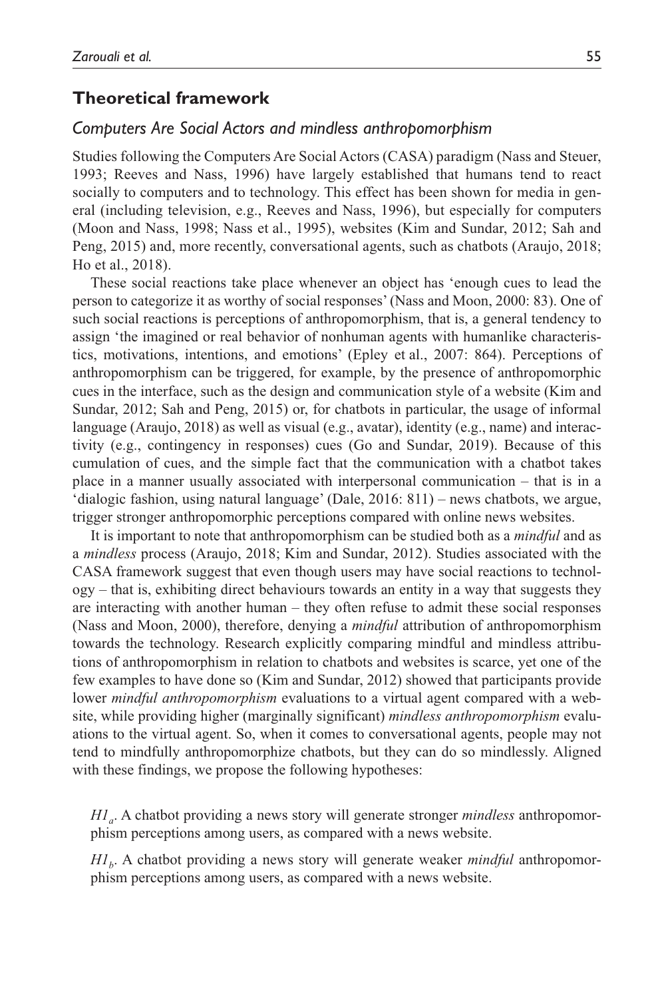#### **Theoretical framework**

#### *Computers Are Social Actors and mindless anthropomorphism*

Studies following the Computers Are Social Actors (CASA) paradigm (Nass and Steuer, 1993; Reeves and Nass, 1996) have largely established that humans tend to react socially to computers and to technology. This effect has been shown for media in general (including television, e.g., Reeves and Nass, 1996), but especially for computers (Moon and Nass, 1998; Nass et al., 1995), websites (Kim and Sundar, 2012; Sah and Peng, 2015) and, more recently, conversational agents, such as chatbots (Araujo, 2018; Ho et al., 2018).

These social reactions take place whenever an object has 'enough cues to lead the person to categorize it as worthy of social responses' (Nass and Moon, 2000: 83). One of such social reactions is perceptions of anthropomorphism, that is, a general tendency to assign 'the imagined or real behavior of nonhuman agents with humanlike characteristics, motivations, intentions, and emotions' (Epley et al., 2007: 864). Perceptions of anthropomorphism can be triggered, for example, by the presence of anthropomorphic cues in the interface, such as the design and communication style of a website (Kim and Sundar, 2012; Sah and Peng, 2015) or, for chatbots in particular, the usage of informal language (Araujo, 2018) as well as visual (e.g., avatar), identity (e.g., name) and interactivity (e.g., contingency in responses) cues (Go and Sundar, 2019). Because of this cumulation of cues, and the simple fact that the communication with a chatbot takes place in a manner usually associated with interpersonal communication – that is in a 'dialogic fashion, using natural language' (Dale, 2016: 811) – news chatbots, we argue, trigger stronger anthropomorphic perceptions compared with online news websites.

It is important to note that anthropomorphism can be studied both as a *mindful* and as a *mindless* process (Araujo, 2018; Kim and Sundar, 2012). Studies associated with the CASA framework suggest that even though users may have social reactions to technol $ogy$  – that is, exhibiting direct behaviours towards an entity in a way that suggests they are interacting with another human – they often refuse to admit these social responses (Nass and Moon, 2000), therefore, denying a *mindful* attribution of anthropomorphism towards the technology. Research explicitly comparing mindful and mindless attributions of anthropomorphism in relation to chatbots and websites is scarce, yet one of the few examples to have done so (Kim and Sundar, 2012) showed that participants provide lower *mindful anthropomorphism* evaluations to a virtual agent compared with a website, while providing higher (marginally significant) *mindless anthropomorphism* evaluations to the virtual agent. So, when it comes to conversational agents, people may not tend to mindfully anthropomorphize chatbots, but they can do so mindlessly. Aligned with these findings, we propose the following hypotheses:

*H1<sub>a</sub>*. A chatbot providing a news story will generate stronger *mindless* anthropomorphism perceptions among users, as compared with a news website.

*H1<sub>b</sub>*. A chatbot providing a news story will generate weaker *mindful* anthropomorphism perceptions among users, as compared with a news website.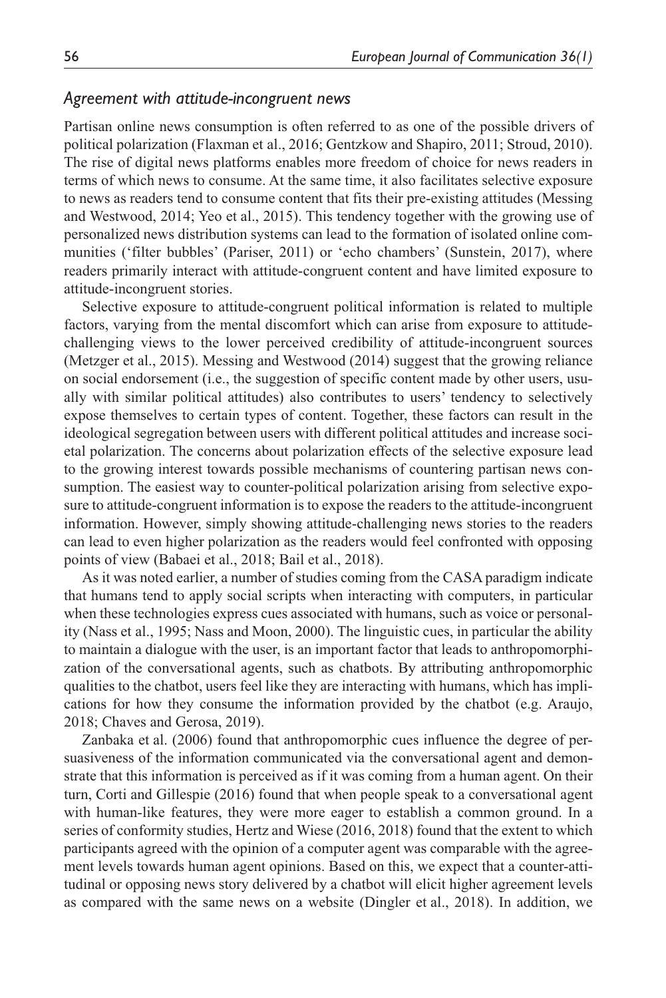#### *Agreement with attitude-incongruent news*

Partisan online news consumption is often referred to as one of the possible drivers of political polarization (Flaxman et al., 2016; Gentzkow and Shapiro, 2011; Stroud, 2010). The rise of digital news platforms enables more freedom of choice for news readers in terms of which news to consume. At the same time, it also facilitates selective exposure to news as readers tend to consume content that fits their pre-existing attitudes (Messing and Westwood, 2014; Yeo et al., 2015). This tendency together with the growing use of personalized news distribution systems can lead to the formation of isolated online communities ('filter bubbles' (Pariser, 2011) or 'echo chambers' (Sunstein, 2017), where readers primarily interact with attitude-congruent content and have limited exposure to attitude-incongruent stories.

Selective exposure to attitude-congruent political information is related to multiple factors, varying from the mental discomfort which can arise from exposure to attitudechallenging views to the lower perceived credibility of attitude-incongruent sources (Metzger et al., 2015). Messing and Westwood (2014) suggest that the growing reliance on social endorsement (i.e., the suggestion of specific content made by other users, usually with similar political attitudes) also contributes to users' tendency to selectively expose themselves to certain types of content. Together, these factors can result in the ideological segregation between users with different political attitudes and increase societal polarization. The concerns about polarization effects of the selective exposure lead to the growing interest towards possible mechanisms of countering partisan news consumption. The easiest way to counter-political polarization arising from selective exposure to attitude-congruent information is to expose the readers to the attitude-incongruent information. However, simply showing attitude-challenging news stories to the readers can lead to even higher polarization as the readers would feel confronted with opposing points of view (Babaei et al., 2018; Bail et al., 2018).

As it was noted earlier, a number of studies coming from the CASA paradigm indicate that humans tend to apply social scripts when interacting with computers, in particular when these technologies express cues associated with humans, such as voice or personality (Nass et al., 1995; Nass and Moon, 2000). The linguistic cues, in particular the ability to maintain a dialogue with the user, is an important factor that leads to anthropomorphization of the conversational agents, such as chatbots. By attributing anthropomorphic qualities to the chatbot, users feel like they are interacting with humans, which has implications for how they consume the information provided by the chatbot (e.g. Araujo, 2018; Chaves and Gerosa, 2019).

Zanbaka et al. (2006) found that anthropomorphic cues influence the degree of persuasiveness of the information communicated via the conversational agent and demonstrate that this information is perceived as if it was coming from a human agent. On their turn, Corti and Gillespie (2016) found that when people speak to a conversational agent with human-like features, they were more eager to establish a common ground. In a series of conformity studies, Hertz and Wiese (2016, 2018) found that the extent to which participants agreed with the opinion of a computer agent was comparable with the agreement levels towards human agent opinions. Based on this, we expect that a counter-attitudinal or opposing news story delivered by a chatbot will elicit higher agreement levels as compared with the same news on a website (Dingler et al., 2018). In addition, we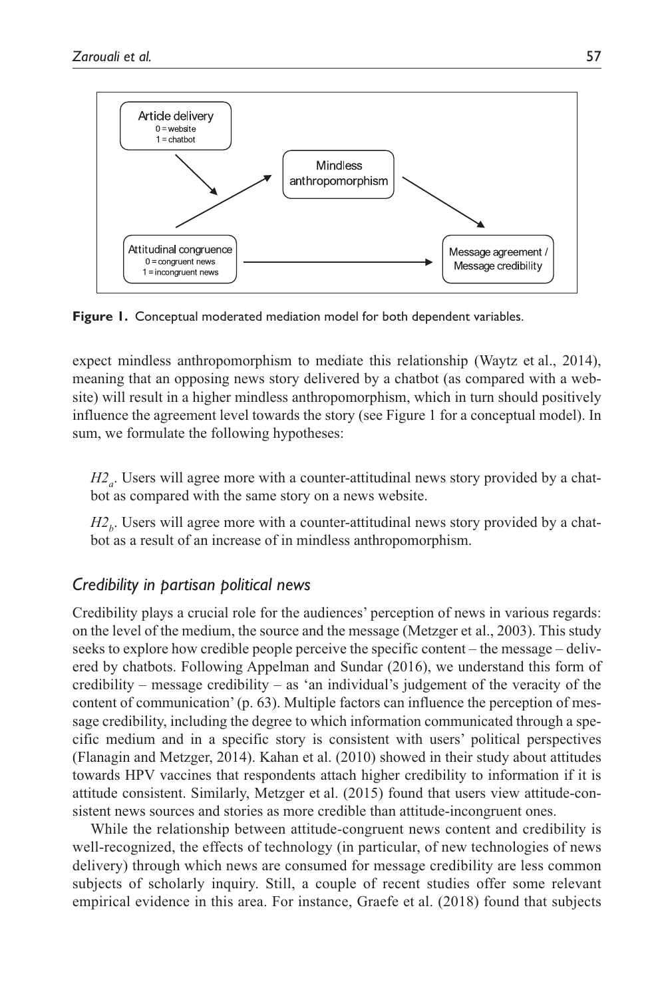

**Figure 1.** Conceptual moderated mediation model for both dependent variables.

expect mindless anthropomorphism to mediate this relationship (Waytz et al., 2014), meaning that an opposing news story delivered by a chatbot (as compared with a website) will result in a higher mindless anthropomorphism, which in turn should positively influence the agreement level towards the story (see Figure 1 for a conceptual model). In sum, we formulate the following hypotheses:

*H2<sub>a</sub>*. Users will agree more with a counter-attitudinal news story provided by a chatbot as compared with the same story on a news website.

 $H2<sub>b</sub>$ . Users will agree more with a counter-attitudinal news story provided by a chatbot as a result of an increase of in mindless anthropomorphism.

# *Credibility in partisan political news*

Credibility plays a crucial role for the audiences' perception of news in various regards: on the level of the medium, the source and the message (Metzger et al., 2003). This study seeks to explore how credible people perceive the specific content – the message – delivered by chatbots. Following Appelman and Sundar (2016), we understand this form of credibility – message credibility – as 'an individual's judgement of the veracity of the content of communication' (p. 63). Multiple factors can influence the perception of message credibility, including the degree to which information communicated through a specific medium and in a specific story is consistent with users' political perspectives (Flanagin and Metzger, 2014). Kahan et al. (2010) showed in their study about attitudes towards HPV vaccines that respondents attach higher credibility to information if it is attitude consistent. Similarly, Metzger et al. (2015) found that users view attitude-consistent news sources and stories as more credible than attitude-incongruent ones.

While the relationship between attitude-congruent news content and credibility is well-recognized, the effects of technology (in particular, of new technologies of news delivery) through which news are consumed for message credibility are less common subjects of scholarly inquiry. Still, a couple of recent studies offer some relevant empirical evidence in this area. For instance, Graefe et al. (2018) found that subjects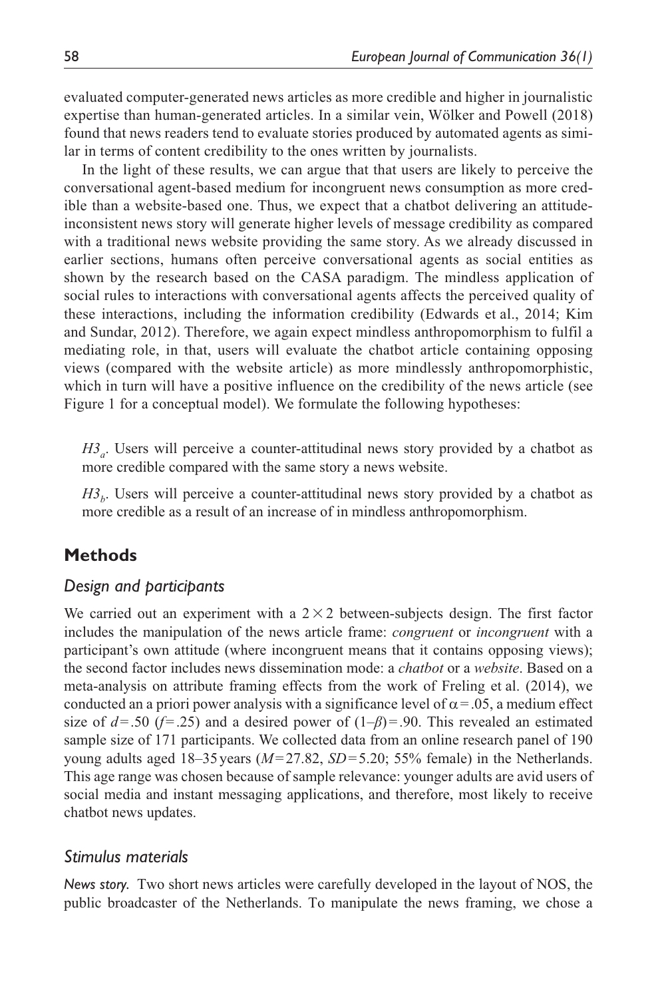evaluated computer-generated news articles as more credible and higher in journalistic expertise than human-generated articles. In a similar vein, Wölker and Powell (2018) found that news readers tend to evaluate stories produced by automated agents as similar in terms of content credibility to the ones written by journalists.

In the light of these results, we can argue that that users are likely to perceive the conversational agent-based medium for incongruent news consumption as more credible than a website-based one. Thus, we expect that a chatbot delivering an attitudeinconsistent news story will generate higher levels of message credibility as compared with a traditional news website providing the same story. As we already discussed in earlier sections, humans often perceive conversational agents as social entities as shown by the research based on the CASA paradigm. The mindless application of social rules to interactions with conversational agents affects the perceived quality of these interactions, including the information credibility (Edwards et al., 2014; Kim and Sundar, 2012). Therefore, we again expect mindless anthropomorphism to fulfil a mediating role, in that, users will evaluate the chatbot article containing opposing views (compared with the website article) as more mindlessly anthropomorphistic, which in turn will have a positive influence on the credibility of the news article (see Figure 1 for a conceptual model). We formulate the following hypotheses:

*H3<sub>a</sub>*. Users will perceive a counter-attitudinal news story provided by a chatbot as more credible compared with the same story a news website.

 $H3<sub>b</sub>$ . Users will perceive a counter-attitudinal news story provided by a chatbot as more credible as a result of an increase of in mindless anthropomorphism.

### **Methods**

#### *Design and participants*

We carried out an experiment with a  $2 \times 2$  between-subjects design. The first factor includes the manipulation of the news article frame: *congruent* or *incongruent* with a participant's own attitude (where incongruent means that it contains opposing views); the second factor includes news dissemination mode: a *chatbot* or a *website*. Based on a meta-analysis on attribute framing effects from the work of Freling et al. (2014), we conducted an a priori power analysis with a significance level of  $\alpha$  = .05, a medium effect size of  $d = .50$  ( $f = .25$ ) and a desired power of  $(1-\beta) = .90$ . This revealed an estimated sample size of 171 participants. We collected data from an online research panel of 190 young adults aged 18–35 years (*M*=27.82, *SD*=5.20; 55% female) in the Netherlands. This age range was chosen because of sample relevance: younger adults are avid users of social media and instant messaging applications, and therefore, most likely to receive chatbot news updates.

#### *Stimulus materials*

*News story.* Two short news articles were carefully developed in the layout of NOS, the public broadcaster of the Netherlands. To manipulate the news framing, we chose a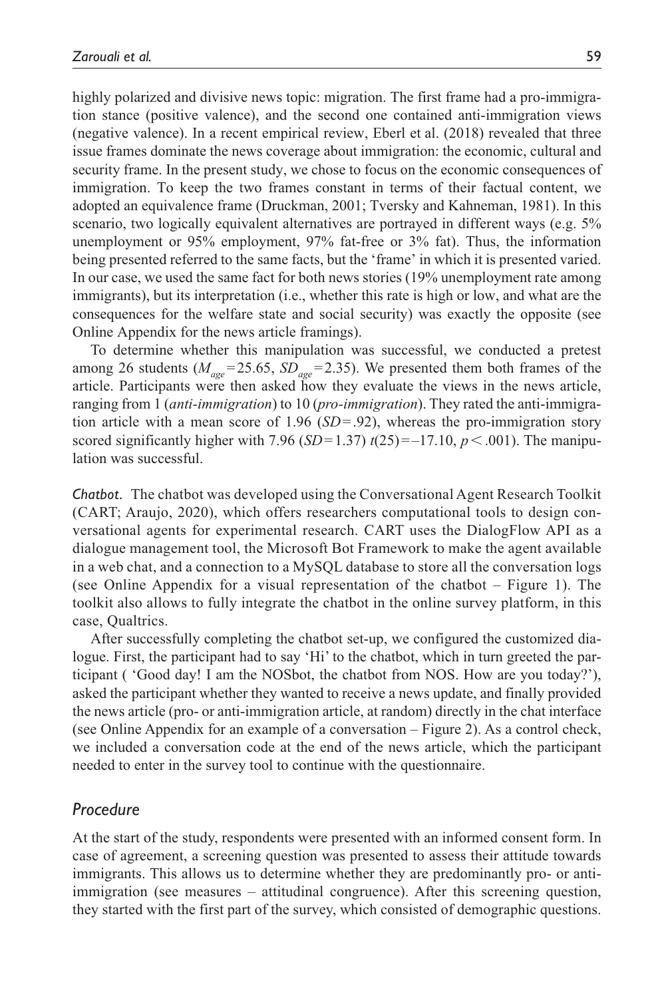highly polarized and divisive news topic: migration. The first frame had a pro-immigration stance (positive valence), and the second one contained anti-immigration views (negative valence). In a recent empirical review, Eberl et al. (2018) revealed that three issue frames dominate the news coverage about immigration: the economic, cultural and security frame. In the present study, we chose to focus on the economic consequences of immigration. To keep the two frames constant in terms of their factual content, we adopted an equivalence frame (Druckman, 2001; Tversky and Kahneman, 1981). In this scenario, two logically equivalent alternatives are portrayed in different ways (e.g. 5% unemployment or 95% employment, 97% fat-free or 3% fat). Thus, the information being presented referred to the same facts, but the 'frame' in which it is presented varied. In our case, we used the same fact for both news stories (19% unemployment rate among immigrants), but its interpretation (i.e., whether this rate is high or low, and what are the consequences for the welfare state and social security) was exactly the opposite (see Online Appendix for the news article framings).

To determine whether this manipulation was successful, we conducted a pretest among 26 students ( $M_{\text{age}}$ =25.65,  $SD_{\text{age}}$ =2.35). We presented them both frames of the article. Participants were then asked how they evaluate the views in the news article, ranging from 1 (*anti-immigration*) to 10 (*pro-immigration*). They rated the anti-immigration article with a mean score of 1.96 (*SD*=.92), whereas the pro-immigration story scored significantly higher with 7.96  $(SD=1.37)$   $t(25)=-17.10, p<.001$ ). The manipulation was successful.

*Chatbot.* The chatbot was developed using the Conversational Agent Research Toolkit (CART; Araujo, 2020), which offers researchers computational tools to design conversational agents for experimental research. CART uses the DialogFlow API as a dialogue management tool, the Microsoft Bot Framework to make the agent available in a web chat, and a connection to a MySQL database to store all the conversation logs (see Online Appendix for a visual representation of the chatbot – Figure 1). The toolkit also allows to fully integrate the chatbot in the online survey platform, in this case, Qualtrics.

After successfully completing the chatbot set-up, we configured the customized dialogue. First, the participant had to say 'Hi' to the chatbot, which in turn greeted the participant ( 'Good day! I am the NOSbot, the chatbot from NOS. How are you today?'), asked the participant whether they wanted to receive a news update, and finally provided the news article (pro- or anti-immigration article, at random) directly in the chat interface (see Online Appendix for an example of a conversation – Figure 2). As a control check, we included a conversation code at the end of the news article, which the participant needed to enter in the survey tool to continue with the questionnaire.

#### *Procedure*

At the start of the study, respondents were presented with an informed consent form. In case of agreement, a screening question was presented to assess their attitude towards immigrants. This allows us to determine whether they are predominantly pro- or antiimmigration (see measures – attitudinal congruence). After this screening question, they started with the first part of the survey, which consisted of demographic questions.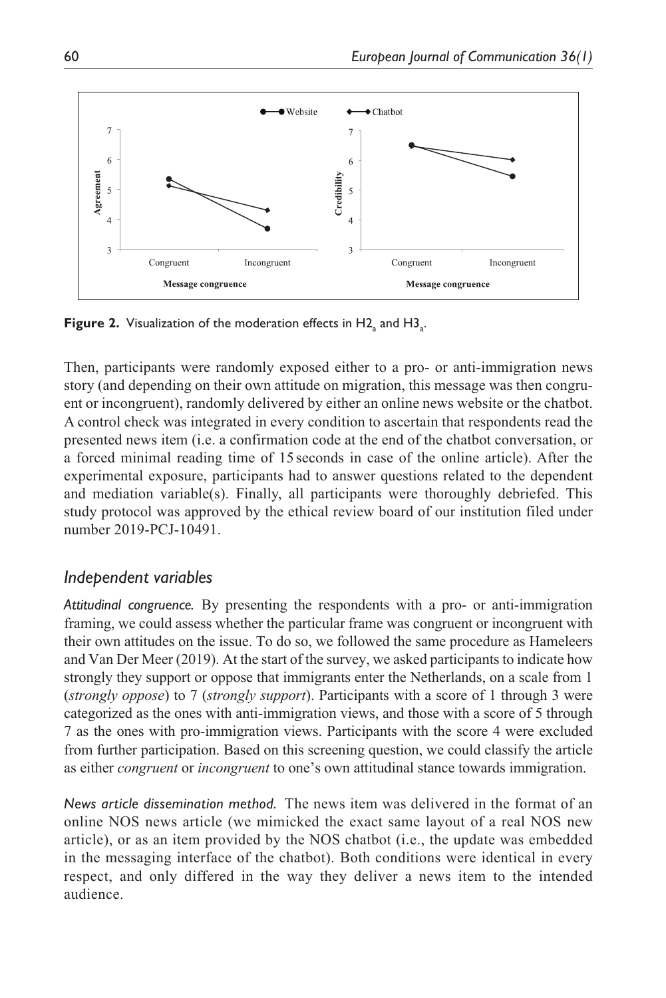

**Figure 2.** Visualization of the moderation effects in  $\mathsf{H2}_{\mathsf{a}}$  and  $\mathsf{H3}_{\mathsf{a}}$ .

Then, participants were randomly exposed either to a pro- or anti-immigration news story (and depending on their own attitude on migration, this message was then congruent or incongruent), randomly delivered by either an online news website or the chatbot. A control check was integrated in every condition to ascertain that respondents read the presented news item (i.e. a confirmation code at the end of the chatbot conversation, or a forced minimal reading time of 15 seconds in case of the online article). After the experimental exposure, participants had to answer questions related to the dependent and mediation variable(s). Finally, all participants were thoroughly debriefed. This study protocol was approved by the ethical review board of our institution filed under number 2019-PCJ-10491.

### *Independent variables*

*Attitudinal congruence.* By presenting the respondents with a pro- or anti-immigration framing, we could assess whether the particular frame was congruent or incongruent with their own attitudes on the issue. To do so, we followed the same procedure as Hameleers and Van Der Meer (2019). At the start of the survey, we asked participants to indicate how strongly they support or oppose that immigrants enter the Netherlands, on a scale from 1 (*strongly oppose*) to 7 (*strongly support*). Participants with a score of 1 through 3 were categorized as the ones with anti-immigration views, and those with a score of 5 through 7 as the ones with pro-immigration views. Participants with the score 4 were excluded from further participation. Based on this screening question, we could classify the article as either *congruent* or *incongruent* to one's own attitudinal stance towards immigration.

*News article dissemination method.* The news item was delivered in the format of an online NOS news article (we mimicked the exact same layout of a real NOS new article), or as an item provided by the NOS chatbot (i.e., the update was embedded in the messaging interface of the chatbot). Both conditions were identical in every respect, and only differed in the way they deliver a news item to the intended audience.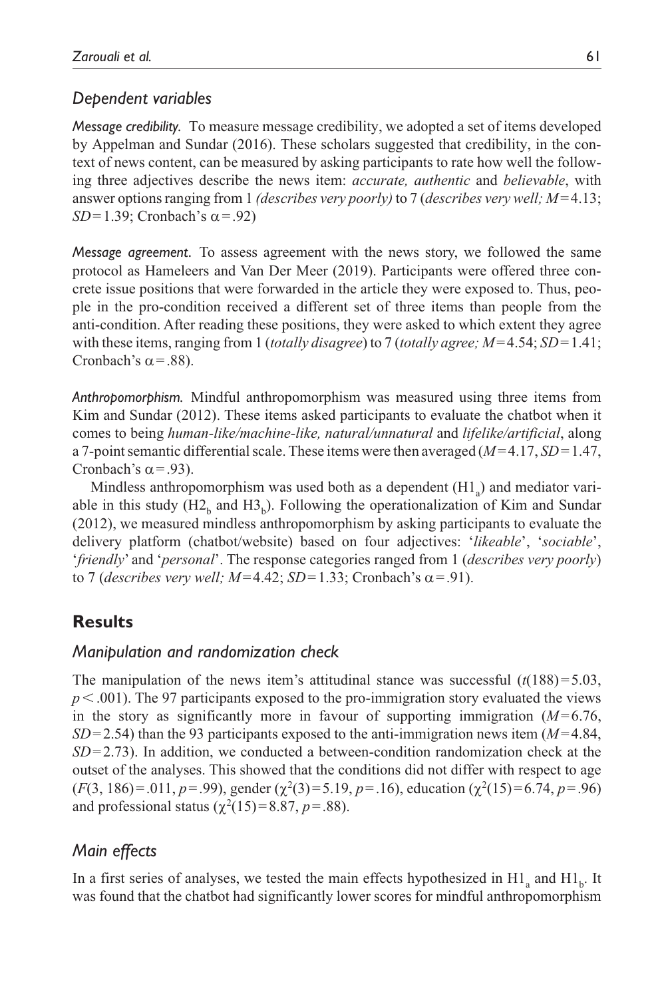### *Dependent variables*

*Message credibility.* To measure message credibility, we adopted a set of items developed by Appelman and Sundar (2016). These scholars suggested that credibility, in the context of news content, can be measured by asking participants to rate how well the following three adjectives describe the news item: *accurate, authentic* and *believable*, with answer options ranging from 1 *(describes very poorly)* to 7 (*describes very well; M*=4.13; *SD*=1.39; Cronbach's  $\alpha$ =.92)

*Message agreement.* To assess agreement with the news story, we followed the same protocol as Hameleers and Van Der Meer (2019). Participants were offered three concrete issue positions that were forwarded in the article they were exposed to. Thus, people in the pro-condition received a different set of three items than people from the anti-condition. After reading these positions, they were asked to which extent they agree with these items, ranging from 1 (*totally disagree*) to 7 (*totally agree; M*=4.54; *SD*=1.41; Cronbach's  $\alpha$  = .88).

*Anthropomorphism.* Mindful anthropomorphism was measured using three items from Kim and Sundar (2012). These items asked participants to evaluate the chatbot when it comes to being *human-like/machine-like, natural/unnatural* and *lifelike/artificial*, along a 7-point semantic differential scale. These items were then averaged (*M*=4.17, *SD*=1.47, Cronbach's  $\alpha$  = .93).

Mindless anthropomorphism was used both as a dependent  $(Hl<sub>a</sub>)$  and mediator variable in this study  $(H2_h$  and  $H3_h)$ . Following the operationalization of Kim and Sundar (2012), we measured mindless anthropomorphism by asking participants to evaluate the delivery platform (chatbot/website) based on four adjectives: '*likeable*', '*sociable*', '*friendly*' and '*personal*'. The response categories ranged from 1 (*describes very poorly*) to 7 (*describes very well; M*=4.42; *SD*=1.33; Cronbach's  $\alpha$ =.91).

# **Results**

# *Manipulation and randomization check*

The manipulation of the news item's attitudinal stance was successful  $(t(188)=5.03$ , *p*<.001). The 97 participants exposed to the pro-immigration story evaluated the views in the story as significantly more in favour of supporting immigration  $(M=6.76$ , *SD*=2.54) than the 93 participants exposed to the anti-immigration news item (*M*=4.84, *SD*=2.73). In addition, we conducted a between-condition randomization check at the outset of the analyses. This showed that the conditions did not differ with respect to age  $(F(3, 186)=0.011, p=.99)$ , gender  $(\chi^2(3)=5.19, p=.16)$ , education  $(\chi^2(15)=6.74, p=.96)$ and professional status  $(\chi^2(15)=8.87, p=.88)$ .

# *Main effects*

In a first series of analyses, we tested the main effects hypothesized in  $\text{H1}_a$  and  $\text{H1}_b$ . It was found that the chatbot had significantly lower scores for mindful anthropomorphism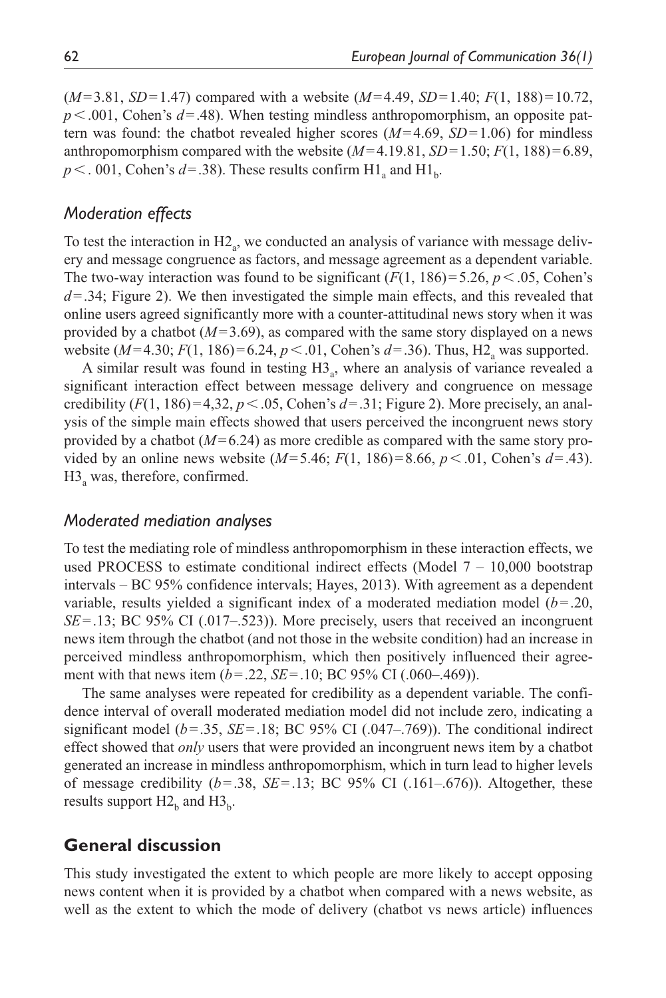(*M*=3.81, *SD*=1.47) compared with a website (*M*=4.49, *SD*=1.40; *F*(1, 188)=10.72, *p*<.001, Cohen's *d*=.48). When testing mindless anthropomorphism, an opposite pattern was found: the chatbot revealed higher scores (*M*=4.69, *SD*=1.06) for mindless anthropomorphism compared with the website  $(M=4.19.81, SD=1.50; F(1, 188)=6.89$ ,  $p < .001$ , Cohen's  $d = .38$ ). These results confirm  $H1_a$  and  $H1_b$ .

### *Moderation effects*

To test the interaction in  $H2_a$ , we conducted an analysis of variance with message delivery and message congruence as factors, and message agreement as a dependent variable. The two-way interaction was found to be significant  $(F(1, 186)=5.26, p<.05,$  Cohen's *d*=.34; Figure 2). We then investigated the simple main effects, and this revealed that online users agreed significantly more with a counter-attitudinal news story when it was provided by a chatbot (*M*=3.69), as compared with the same story displayed on a news website (*M*=4.30; *F*(1, 186)=6.24, *p* < .01, Cohen's *d*=.36). Thus, H2<sub>a</sub> was supported.

A similar result was found in testing  $H_3$ , where an analysis of variance revealed a significant interaction effect between message delivery and congruence on message credibility  $(F(1, 186)=4,32, p<.05$ , Cohen's  $d=.31$ ; Figure 2). More precisely, an analysis of the simple main effects showed that users perceived the incongruent news story provided by a chatbot (*M*=6.24) as more credible as compared with the same story provided by an online news website  $(M=5.46; F(1, 186)=8.66, p<.01$ , Cohen's  $d=.43$ ). H3<sub>a</sub> was, therefore, confirmed.

### *Moderated mediation analyses*

To test the mediating role of mindless anthropomorphism in these interaction effects, we used PROCESS to estimate conditional indirect effects (Model  $7 - 10,000$  bootstrap intervals – BC 95% confidence intervals; Hayes, 2013). With agreement as a dependent variable, results yielded a significant index of a moderated mediation model (*b*=.20, *SE*=.13; BC 95% CI (.017–.523)). More precisely, users that received an incongruent news item through the chatbot (and not those in the website condition) had an increase in perceived mindless anthropomorphism, which then positively influenced their agreement with that news item (*b*=.22, *SE*=.10; BC 95% CI (.060–.469)).

The same analyses were repeated for credibility as a dependent variable. The confidence interval of overall moderated mediation model did not include zero, indicating a significant model ( $b$ =.35,  $SE$ =.18; BC 95% CI (.047–.769)). The conditional indirect effect showed that *only* users that were provided an incongruent news item by a chatbot generated an increase in mindless anthropomorphism, which in turn lead to higher levels of message credibility  $(b=.38, SE=.13; BC 95% CI (.161-.676)).$  Altogether, these results support  $H2<sub>b</sub>$  and  $H3<sub>b</sub>$ .

### **General discussion**

This study investigated the extent to which people are more likely to accept opposing news content when it is provided by a chatbot when compared with a news website, as well as the extent to which the mode of delivery (chatbot vs news article) influences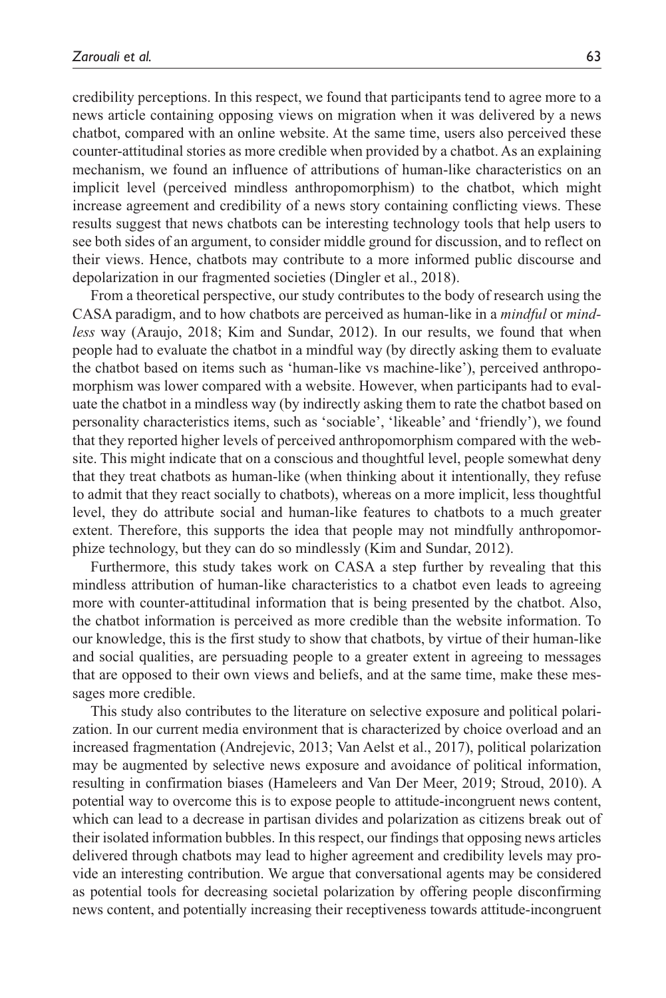credibility perceptions. In this respect, we found that participants tend to agree more to a news article containing opposing views on migration when it was delivered by a news chatbot, compared with an online website. At the same time, users also perceived these counter-attitudinal stories as more credible when provided by a chatbot. As an explaining mechanism, we found an influence of attributions of human-like characteristics on an implicit level (perceived mindless anthropomorphism) to the chatbot, which might increase agreement and credibility of a news story containing conflicting views. These results suggest that news chatbots can be interesting technology tools that help users to see both sides of an argument, to consider middle ground for discussion, and to reflect on their views. Hence, chatbots may contribute to a more informed public discourse and depolarization in our fragmented societies (Dingler et al., 2018).

From a theoretical perspective, our study contributes to the body of research using the CASA paradigm, and to how chatbots are perceived as human-like in a *mindful* or *mindless* way (Araujo, 2018; Kim and Sundar, 2012). In our results, we found that when people had to evaluate the chatbot in a mindful way (by directly asking them to evaluate the chatbot based on items such as 'human-like vs machine-like'), perceived anthropomorphism was lower compared with a website. However, when participants had to evaluate the chatbot in a mindless way (by indirectly asking them to rate the chatbot based on personality characteristics items, such as 'sociable', 'likeable' and 'friendly'), we found that they reported higher levels of perceived anthropomorphism compared with the website. This might indicate that on a conscious and thoughtful level, people somewhat deny that they treat chatbots as human-like (when thinking about it intentionally, they refuse to admit that they react socially to chatbots), whereas on a more implicit, less thoughtful level, they do attribute social and human-like features to chatbots to a much greater extent. Therefore, this supports the idea that people may not mindfully anthropomorphize technology, but they can do so mindlessly (Kim and Sundar, 2012).

Furthermore, this study takes work on CASA a step further by revealing that this mindless attribution of human-like characteristics to a chatbot even leads to agreeing more with counter-attitudinal information that is being presented by the chatbot. Also, the chatbot information is perceived as more credible than the website information. To our knowledge, this is the first study to show that chatbots, by virtue of their human-like and social qualities, are persuading people to a greater extent in agreeing to messages that are opposed to their own views and beliefs, and at the same time, make these messages more credible.

This study also contributes to the literature on selective exposure and political polarization. In our current media environment that is characterized by choice overload and an increased fragmentation (Andrejevic, 2013; Van Aelst et al., 2017), political polarization may be augmented by selective news exposure and avoidance of political information, resulting in confirmation biases (Hameleers and Van Der Meer, 2019; Stroud, 2010). A potential way to overcome this is to expose people to attitude-incongruent news content, which can lead to a decrease in partisan divides and polarization as citizens break out of their isolated information bubbles. In this respect, our findings that opposing news articles delivered through chatbots may lead to higher agreement and credibility levels may provide an interesting contribution. We argue that conversational agents may be considered as potential tools for decreasing societal polarization by offering people disconfirming news content, and potentially increasing their receptiveness towards attitude-incongruent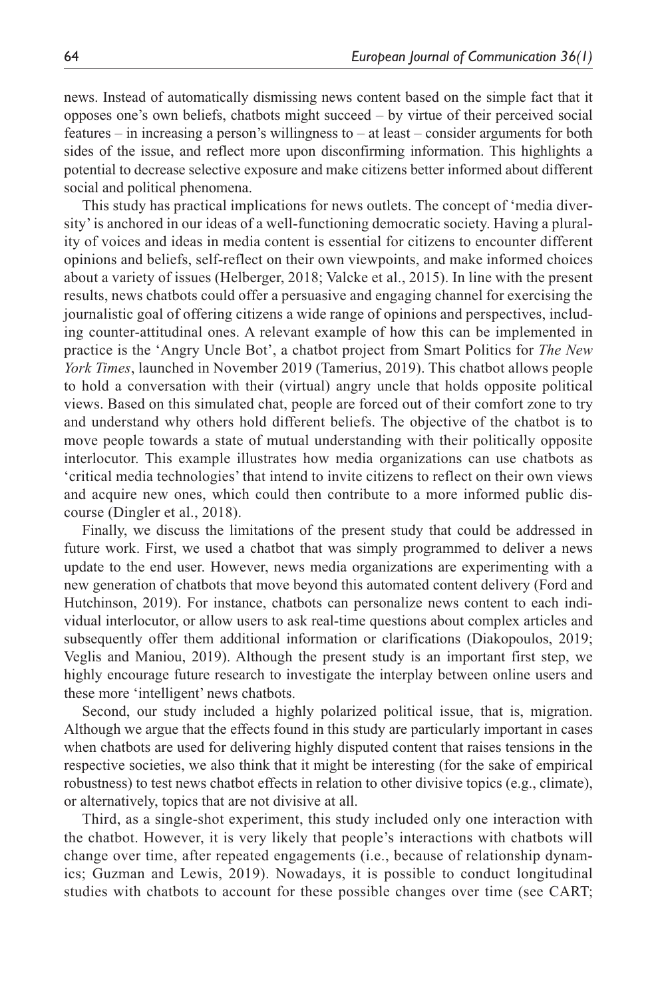news. Instead of automatically dismissing news content based on the simple fact that it opposes one's own beliefs, chatbots might succeed – by virtue of their perceived social features – in increasing a person's willingness to – at least – consider arguments for both sides of the issue, and reflect more upon disconfirming information. This highlights a potential to decrease selective exposure and make citizens better informed about different social and political phenomena.

This study has practical implications for news outlets. The concept of 'media diversity' is anchored in our ideas of a well-functioning democratic society. Having a plurality of voices and ideas in media content is essential for citizens to encounter different opinions and beliefs, self-reflect on their own viewpoints, and make informed choices about a variety of issues (Helberger, 2018; Valcke et al., 2015). In line with the present results, news chatbots could offer a persuasive and engaging channel for exercising the journalistic goal of offering citizens a wide range of opinions and perspectives, including counter-attitudinal ones. A relevant example of how this can be implemented in practice is the 'Angry Uncle Bot', a chatbot project from Smart Politics for *The New York Times*, launched in November 2019 (Tamerius, 2019). This chatbot allows people to hold a conversation with their (virtual) angry uncle that holds opposite political views. Based on this simulated chat, people are forced out of their comfort zone to try and understand why others hold different beliefs. The objective of the chatbot is to move people towards a state of mutual understanding with their politically opposite interlocutor. This example illustrates how media organizations can use chatbots as 'critical media technologies' that intend to invite citizens to reflect on their own views and acquire new ones, which could then contribute to a more informed public discourse (Dingler et al., 2018).

Finally, we discuss the limitations of the present study that could be addressed in future work. First, we used a chatbot that was simply programmed to deliver a news update to the end user. However, news media organizations are experimenting with a new generation of chatbots that move beyond this automated content delivery (Ford and Hutchinson, 2019). For instance, chatbots can personalize news content to each individual interlocutor, or allow users to ask real-time questions about complex articles and subsequently offer them additional information or clarifications (Diakopoulos, 2019; Veglis and Maniou, 2019). Although the present study is an important first step, we highly encourage future research to investigate the interplay between online users and these more 'intelligent' news chatbots.

Second, our study included a highly polarized political issue, that is, migration. Although we argue that the effects found in this study are particularly important in cases when chatbots are used for delivering highly disputed content that raises tensions in the respective societies, we also think that it might be interesting (for the sake of empirical robustness) to test news chatbot effects in relation to other divisive topics (e.g., climate), or alternatively, topics that are not divisive at all.

Third, as a single-shot experiment, this study included only one interaction with the chatbot. However, it is very likely that people's interactions with chatbots will change over time, after repeated engagements (i.e., because of relationship dynamics; Guzman and Lewis, 2019). Nowadays, it is possible to conduct longitudinal studies with chatbots to account for these possible changes over time (see CART;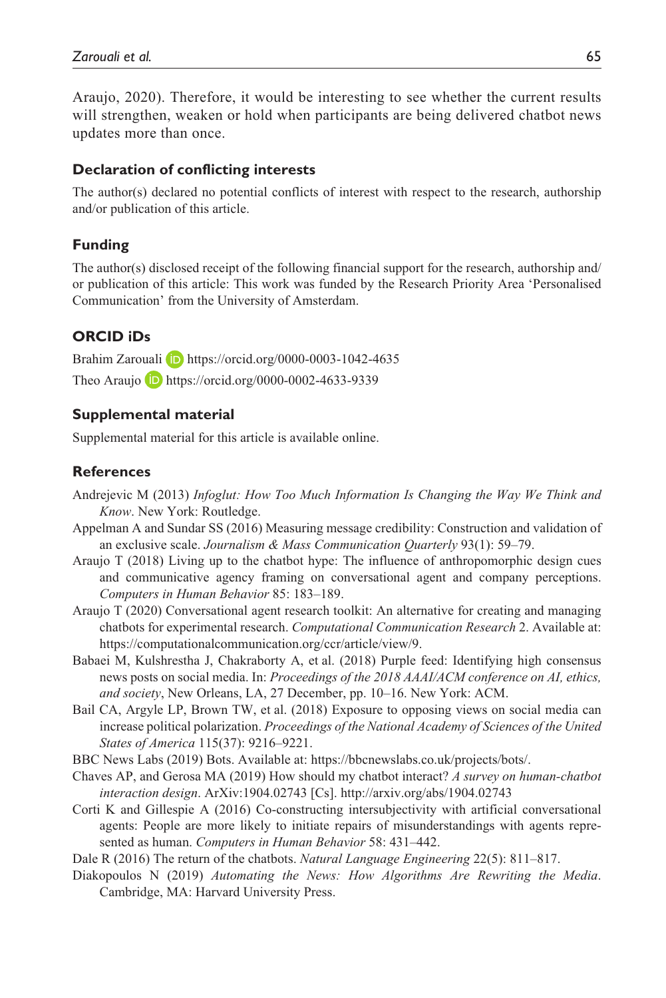Araujo, 2020). Therefore, it would be interesting to see whether the current results will strengthen, weaken or hold when participants are being delivered chatbot news updates more than once.

#### **Declaration of conflicting interests**

The author(s) declared no potential conflicts of interest with respect to the research, authorship and/or publication of this article.

#### **Funding**

The author(s) disclosed receipt of the following financial support for the research, authorship and/ or publication of this article: This work was funded by the Research Priority Area 'Personalised Communication' from the University of Amsterdam.

#### **ORCID iDs**

Brahim Zarouali **D** <https://orcid.org/0000-0003-1042-4635> Theo Araujo **D** <https://orcid.org/0000-0002-4633-9339>

#### **Supplemental material**

Supplemental material for this article is available online.

#### **References**

- Andrejevic M (2013) *Infoglut: How Too Much Information Is Changing the Way We Think and Know*. New York: Routledge.
- Appelman A and Sundar SS (2016) Measuring message credibility: Construction and validation of an exclusive scale. *Journalism & Mass Communication Quarterly* 93(1): 59–79.
- Araujo T (2018) Living up to the chatbot hype: The influence of anthropomorphic design cues and communicative agency framing on conversational agent and company perceptions. *Computers in Human Behavior* 85: 183–189.
- Araujo T (2020) Conversational agent research toolkit: An alternative for creating and managing chatbots for experimental research. *Computational Communication Research* 2. Available at: <https://computationalcommunication.org/ccr/article/view/9>.
- Babaei M, Kulshrestha J, Chakraborty A, et al. (2018) Purple feed: Identifying high consensus news posts on social media. In: *Proceedings of the 2018 AAAI/ACM conference on AI, ethics, and society*, New Orleans, LA, 27 December, pp. 10–16. New York: ACM.
- Bail CA, Argyle LP, Brown TW, et al. (2018) Exposure to opposing views on social media can increase political polarization. *Proceedings of the National Academy of Sciences of the United States of America* 115(37): 9216–9221.

BBC News Labs (2019) Bots. Available at: [https://bbcnewslabs.co.uk/projects/bots/.](https://bbcnewslabs.co.uk/projects/bots/)

- Chaves AP, and Gerosa MA (2019) How should my chatbot interact? *A survey on human-chatbot interaction design*. ArXiv:1904.02743 [Cs].<http://arxiv.org/abs/1904.02743>
- Corti K and Gillespie A (2016) Co-constructing intersubjectivity with artificial conversational agents: People are more likely to initiate repairs of misunderstandings with agents represented as human. *Computers in Human Behavior* 58: 431–442.

Dale R (2016) The return of the chatbots. *Natural Language Engineering* 22(5): 811–817.

Diakopoulos N (2019) *Automating the News: How Algorithms Are Rewriting the Media*. Cambridge, MA: Harvard University Press.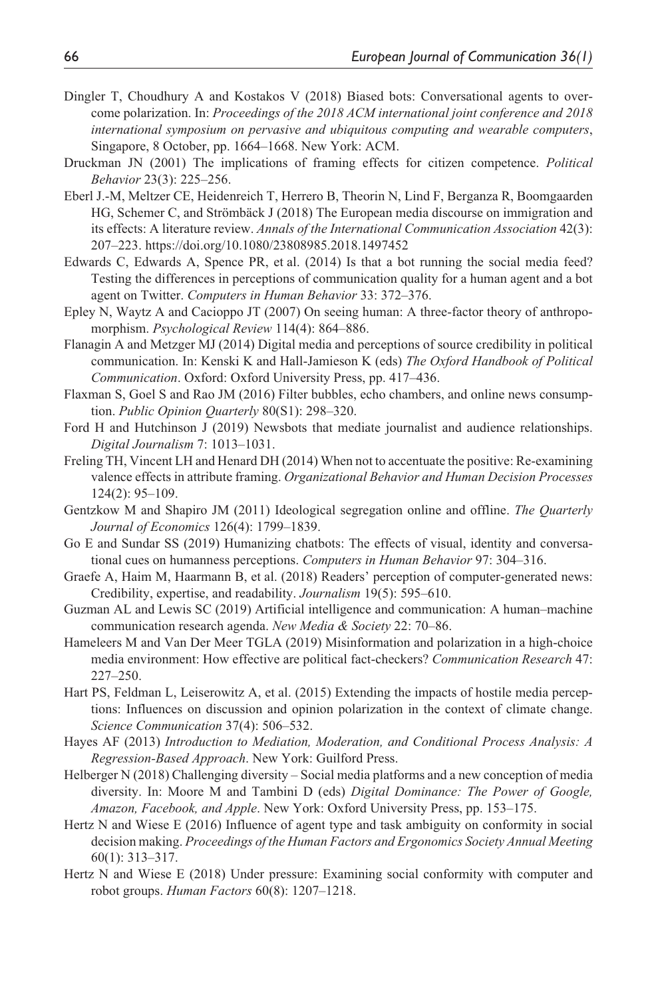- Dingler T, Choudhury A and Kostakos V (2018) Biased bots: Conversational agents to overcome polarization. In: *Proceedings of the 2018 ACM international joint conference and 2018 international symposium on pervasive and ubiquitous computing and wearable computers*, Singapore, 8 October, pp. 1664–1668. New York: ACM.
- Druckman JN (2001) The implications of framing effects for citizen competence. *Political Behavior* 23(3): 225–256.
- Eberl J.-M, Meltzer CE, Heidenreich T, Herrero B, Theorin N, Lind F, Berganza R, Boomgaarden HG, Schemer C, and Strömbäck J (2018) The European media discourse on immigration and its effects: A literature review. *Annals of the International Communication Association* 42(3): 207–223. <https://doi.org/10.1080/23808985.2018.1497452>
- Edwards C, Edwards A, Spence PR, et al. (2014) Is that a bot running the social media feed? Testing the differences in perceptions of communication quality for a human agent and a bot agent on Twitter. *Computers in Human Behavior* 33: 372–376.
- Epley N, Waytz A and Cacioppo JT (2007) On seeing human: A three-factor theory of anthropomorphism. *Psychological Review* 114(4): 864–886.
- Flanagin A and Metzger MJ (2014) Digital media and perceptions of source credibility in political communication. In: Kenski K and Hall-Jamieson K (eds) *The Oxford Handbook of Political Communication*. Oxford: Oxford University Press, pp. 417–436.
- Flaxman S, Goel S and Rao JM (2016) Filter bubbles, echo chambers, and online news consumption. *Public Opinion Quarterly* 80(S1): 298–320.
- Ford H and Hutchinson J (2019) Newsbots that mediate journalist and audience relationships. *Digital Journalism* 7: 1013–1031.
- Freling TH, Vincent LH and Henard DH (2014) When not to accentuate the positive: Re-examining valence effects in attribute framing. *Organizational Behavior and Human Decision Processes* 124(2): 95–109.
- Gentzkow M and Shapiro JM (2011) Ideological segregation online and offline. *The Quarterly Journal of Economics* 126(4): 1799–1839.
- Go E and Sundar SS (2019) Humanizing chatbots: The effects of visual, identity and conversational cues on humanness perceptions. *Computers in Human Behavior* 97: 304–316.
- Graefe A, Haim M, Haarmann B, et al. (2018) Readers' perception of computer-generated news: Credibility, expertise, and readability. *Journalism* 19(5): 595–610.
- Guzman AL and Lewis SC (2019) Artificial intelligence and communication: A human–machine communication research agenda. *New Media & Society* 22: 70–86.
- Hameleers M and Van Der Meer TGLA (2019) Misinformation and polarization in a high-choice media environment: How effective are political fact-checkers? *Communication Research* 47: 227–250.
- Hart PS, Feldman L, Leiserowitz A, et al. (2015) Extending the impacts of hostile media perceptions: Influences on discussion and opinion polarization in the context of climate change. *Science Communication* 37(4): 506–532.
- Hayes AF (2013) *Introduction to Mediation, Moderation, and Conditional Process Analysis: A Regression-Based Approach*. New York: Guilford Press.
- Helberger N (2018) Challenging diversity Social media platforms and a new conception of media diversity. In: Moore M and Tambini D (eds) *Digital Dominance: The Power of Google, Amazon, Facebook, and Apple*. New York: Oxford University Press, pp. 153–175.
- Hertz N and Wiese E (2016) Influence of agent type and task ambiguity on conformity in social decision making. *Proceedings of the Human Factors and Ergonomics Society Annual Meeting* 60(1): 313–317.
- Hertz N and Wiese E (2018) Under pressure: Examining social conformity with computer and robot groups. *Human Factors* 60(8): 1207–1218.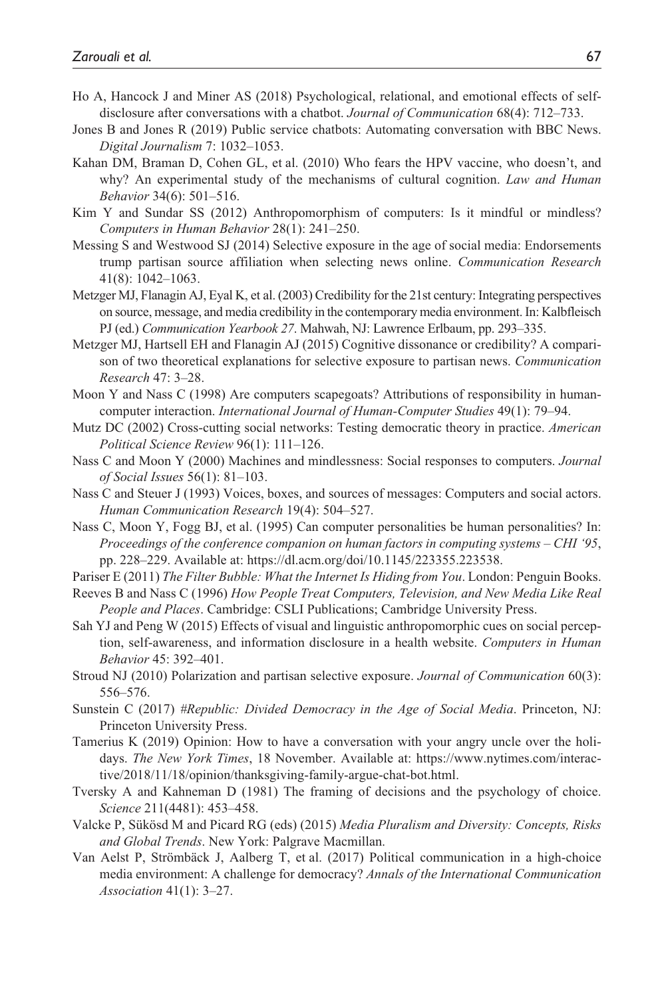- Ho A, Hancock J and Miner AS (2018) Psychological, relational, and emotional effects of selfdisclosure after conversations with a chatbot. *Journal of Communication* 68(4): 712–733.
- Jones B and Jones R (2019) Public service chatbots: Automating conversation with BBC News. *Digital Journalism* 7: 1032–1053.
- Kahan DM, Braman D, Cohen GL, et al. (2010) Who fears the HPV vaccine, who doesn't, and why? An experimental study of the mechanisms of cultural cognition. *Law and Human Behavior* 34(6): 501–516.
- Kim Y and Sundar SS (2012) Anthropomorphism of computers: Is it mindful or mindless? *Computers in Human Behavior* 28(1): 241–250.
- Messing S and Westwood SJ (2014) Selective exposure in the age of social media: Endorsements trump partisan source affiliation when selecting news online. *Communication Research* 41(8): 1042–1063.
- Metzger MJ, Flanagin AJ, Eyal K, et al. (2003) Credibility for the 21st century: Integrating perspectives on source, message, and media credibility in the contemporary media environment. In: Kalbfleisch PJ (ed.) *Communication Yearbook 27*. Mahwah, NJ: Lawrence Erlbaum, pp. 293–335.
- Metzger MJ, Hartsell EH and Flanagin AJ (2015) Cognitive dissonance or credibility? A comparison of two theoretical explanations for selective exposure to partisan news. *Communication Research* 47: 3–28.
- Moon Y and Nass C (1998) Are computers scapegoats? Attributions of responsibility in humancomputer interaction. *International Journal of Human-Computer Studies* 49(1): 79–94.
- Mutz DC (2002) Cross-cutting social networks: Testing democratic theory in practice. *American Political Science Review* 96(1): 111–126.
- Nass C and Moon Y (2000) Machines and mindlessness: Social responses to computers. *Journal of Social Issues* 56(1): 81–103.
- Nass C and Steuer J (1993) Voices, boxes, and sources of messages: Computers and social actors. *Human Communication Research* 19(4): 504–527.
- Nass C, Moon Y, Fogg BJ, et al. (1995) Can computer personalities be human personalities? In: *Proceedings of the conference companion on human factors in computing systems – CHI '95*, pp. 228–229. Available at:<https://dl.acm.org/doi/10.1145/223355.223538>.
- Pariser E (2011) *The Filter Bubble: What the Internet Is Hiding from You*. London: Penguin Books.
- Reeves B and Nass C (1996) *How People Treat Computers, Television, and New Media Like Real People and Places*. Cambridge: CSLI Publications; Cambridge University Press.
- Sah YJ and Peng W (2015) Effects of visual and linguistic anthropomorphic cues on social perception, self-awareness, and information disclosure in a health website. *Computers in Human Behavior* 45: 392–401.
- Stroud NJ (2010) Polarization and partisan selective exposure. *Journal of Communication* 60(3): 556–576.
- Sunstein C (2017) *#Republic: Divided Democracy in the Age of Social Media*. Princeton, NJ: Princeton University Press.
- Tamerius K (2019) Opinion: How to have a conversation with your angry uncle over the holidays. *The New York Times*, 18 November. Available at: [https://www.nytimes.com/interac](https://www.nytimes.com/interactive/2018/11/18/opinion/thanksgiving-family-argue-chat-bot.html)[tive/2018/11/18/opinion/thanksgiving-family-argue-chat-bot.html.](https://www.nytimes.com/interactive/2018/11/18/opinion/thanksgiving-family-argue-chat-bot.html)
- Tversky A and Kahneman D (1981) The framing of decisions and the psychology of choice. *Science* 211(4481): 453–458.
- Valcke P, Sükösd M and Picard RG (eds) (2015) *Media Pluralism and Diversity: Concepts, Risks and Global Trends*. New York: Palgrave Macmillan.
- Van Aelst P, Strömbäck J, Aalberg T, et al. (2017) Political communication in a high-choice media environment: A challenge for democracy? *Annals of the International Communication Association* 41(1): 3–27.